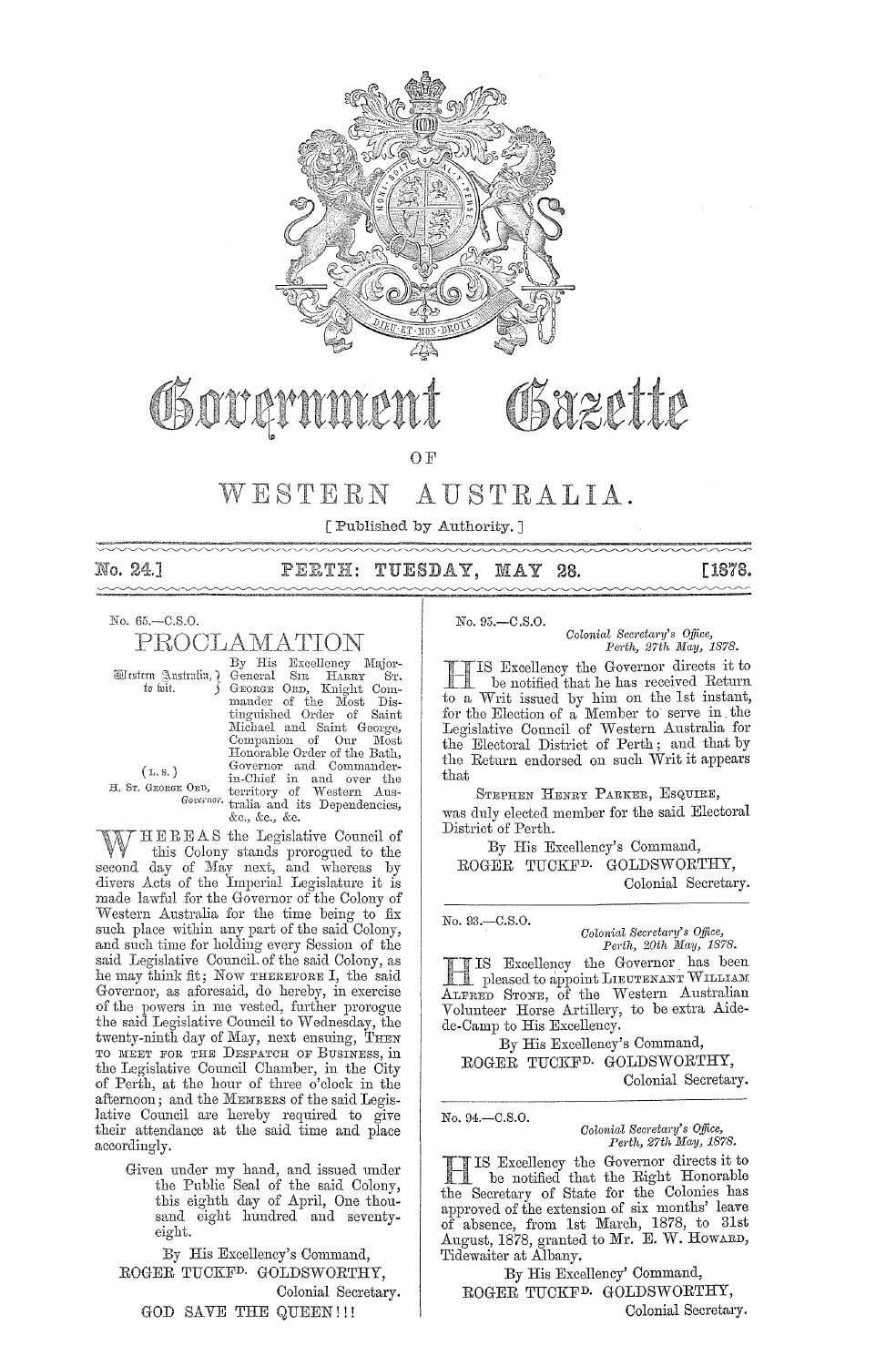

Chover

Sazette

OF

#### AUSTRALIA. WESTERN

[ Published by Authority.]

| No. 24.1 | PERTH: TUESDAY, MAY 28. |  |
|----------|-------------------------|--|

No. 65.-C.S.O.

PROCLAMATION

Mestern Australia, ¿ to wit.

 $(L, S, \mathcal{A})$ 

H. Sr. GEORGE ORD,

By His Excellency Major-<br>General SIR HARRY ST. GEORGE ORD, Knight Commander of the Most<br>tinguished Order of Dis. Saint Michael and Saint George, Companion of Our Most<br>Honorable Order of the Bath, Concernor and Commander-<br>
Governor and Commander-<br>
in-Chief in and over the<br>
E ORD, territory of Western Aus-<br>
Governor tralia and its Dependencies, &c., &c., &c.

HEREAS the Legislative Council of this Colony stands prorogued to the second day of May next, and whereas by divers Acts of the Imperial Legislature it is made lawful for the Governor of the Colony of Western Australia for the time being to fix such place within any part of the said Colony, and such time for holding every Session of the said Legislative Council of the said Colony, as the may think fit; Now THEREFORE I, the said Governor, as aforesaid, do hereby, in exercise of the powers in me vested, further prorogue the said Legislative Council to Wednesday, the twenty-ninth day of May, next ensuing, THEN TO MEET FOR THE DESPATCH OF BUSINESS, in the Legislative Council Chamber, in the City of Perth, at the hour of three o'clock in the afternoon; and the MEMBERS of the said Legislative Council are hereby required to give their attendance at the said time and place accordingly.

> Given under my hand, and issued under<br>the Public Seal of the said Colony,<br>this eighth day of April, One thousand eight hundred and seventyeight.

By His Excellency's Command, ROGER TUCKF<sup>D.</sup> GOLDSWORTHY, Colonial Secretary. GOD SAVE THE QUEEN!!!

No. 95.-C.S.O.

Colonial Secretary's Office, Perth, 27th May, 1878.

**[1878.** 

IS Excellency the Governor directs it to be notified that he has received Return to a Writ issued by him on the 1st instant, for the Election of a Member to serve in the Legislative Council of Western Australia for<br>the Electoral District of Perth; and that by the Return endorsed on such Writ it appears that

STEPHEN HENRY PARKER, ESQUIRE, was duly elected member for the said Electoral District of Perth.

By His Excellency's Command, ROGER TUCKF<sup>D.</sup> GOLDSWORTHY,

Colonial Secretary.

No. 93.-C.S.O.

Colonial Secretary's Office,<br>Perth, 20th May, 1878.

IS Excellency the Governor has been Deased to appoint LIEUTENANT WILLIAM ALFRED STONE, of the Western Australian Volunteer Horse Artillery, to be extra Aidede-Camp to His Excellency.

By His Excellency's Command, ROGER TUCKF<sup>D.</sup> GOLDSWORTHY, Colonial Secretary.

No. 94.-C.S.O.

Colonial Secretary's Office, Perth, 27th May, 1878.

IS Excellency the Governor directs it to be notified that the Right Honorable the Secretary of State for the Colonies has approved of the extension of six months' leave of absence, from 1st March, 1878, to 31st<br>August, 1878, granted to Mr. E. W. HowARD, Tidewaiter at Albany.

By His Excellency' Command, ROGER TUCKF<sup>D.</sup> GOLDSWORTHY, Colonial Secretary.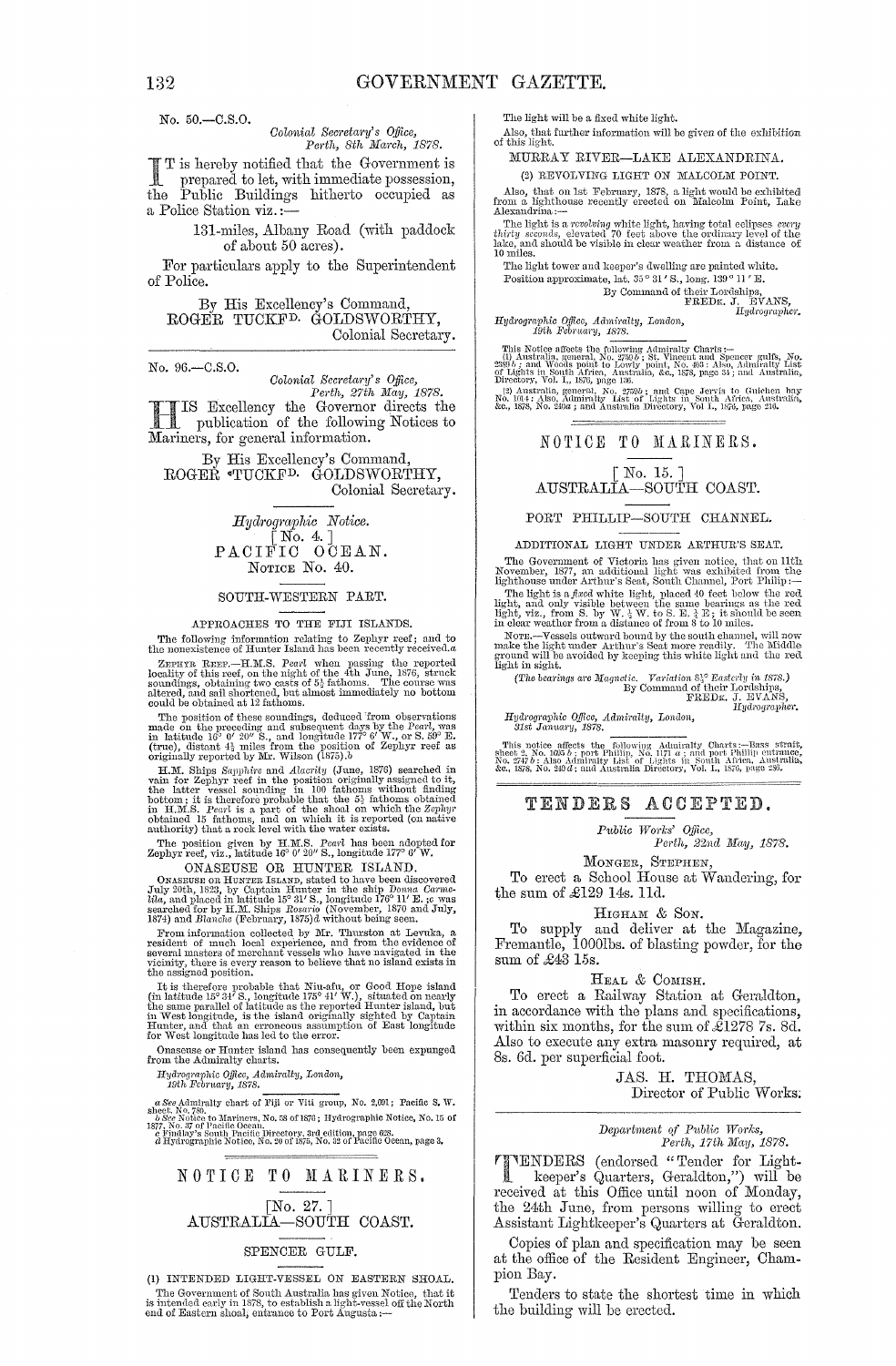No. 50.-C.8.0.

## *Colonial Secretary's Office,*<br>Perth, 8th March, 1878.

I T is hereby notified that the Government is<br>prepared to let, with immediate possession,<br>the Public Public positions in the commission the Public Buildings hitherto occupied as a Police Station viz. ;-

#### 131-miles, Albany Road (with paddock of about 50 acres).

For particulars apply to the Superintendent of Police.

By His Excellency's Command, ROGER TUCKFD. GOLDSWORTHY, Colonial Secretary.

No. 96.-C.8.0.

*Colonial Secretary's Office,*<br>*Perth, 27th May, 1878.* 

*Perth, 27th May, 1878.*<br> **H IS Excellency the Governor directs the**<br> **H** Is publication of the following Notices to publication of the following Notices to Mariners, for general information.

By His Excellency's Command, ROGER °TUCKFD. GOLDSWORTHY, Colonial Secretary.

> *Hyd1'ogmphic Notice.*   $\begin{array}{c} \text{[No. 4.]} \\ \text{PACIFIC} \end{array}$ NOTICE No. 40.

#### SOUTH-WESTERN PART.

#### APPROACHES TO THE FIJI ISLANDS.

The following information relating to Zephyr reef; and to the nonexistence of Hunter Island has been recently received. $a$ 

ZEPHYR REEF.—H.M.S. Pearl when passing the reported locality of this reef, on the night of the 4th June, 1876, struck soundings, obtaining two casts of  $5\frac{1}{2}$  fathoms. The course was altered, and sail shortened, but a

could be obtained in 12 holioms.<br>The position of these soundings, deduced from observations<br>made on the preceding and subsequent days by the Pearl, was<br>in latitude 16° 0' 20" S., and longitude 177° 6' W., or S. 59° E.<br>(tr

H.M. Ships *Sapphire* and *Alacrity* (June, 1876) searched in vain for Zephyr reef in the position originally assigned to it, the latter vessel sounding in 100 fathoms without finding bottom; it is therefore probable that the  $5\frac{1}{2}$  fathoms obtained<br>in H.M.S. *Pearl* is a part of the shoal on which the Zephyr<br>obtained 15 fathoms, and on which it is reported (on native<br>authority) that a rock level w

The position given by H.TlLS. *Pea"l* has been adopted for Zephyr reef, viz., latitude 16° 0' 20" S., longitude 1770 6' W.

ONASEUSE OR HUNTER ISLAND.<br>ONASEUSE OR HUNTER ISLAND, stated to have been discovered<br>July 20th, 1823, by Captain Hunter in the ship Donna Carme-*Ula, a*nd placed in latitude 15° 31′ S., longitude 176° 11′ E. ;c was<br>searched for by H.M. Ships *Rosario* (November, 1870 and July,<br>1874) and *Blanche* (February, 1875)d without being seen.

Form information collected by Mr. Thurston at Levuka, a<br>resident of much local experience, and from the evidence of<br>several masters of mechanic collected by Mr. Thurston at Levuka, a<br>resident of much local experience, and

It is therefore probable that Niu-afu, or Good Hope island<br>(in latitude  $15^{\circ}34'$  S., longitude  $175^{\circ}41'$  W.), situated on nearly<br>the same parallel of latitude as the reported Hunter island, but<br>in West longitude, is Hunter, and that an erroneous assumption of East longitude for West longitude has led to the error.

Onaseuse or Hunter island has eonsequently heen expunged from the Admiralty eharts.

*Ifydrographic Office, Admiralty, London, 19th Fcbruary, 1878.* 

 $a$  See Admiralty chart of Fiji or Viti group, No. 2,691; Pacific S. W. Shock, No. 76, No. 76, No. 76, No. 76, No. 76, No. 76, No. 76, No. 76, No. 76, No. 76, No. 76, No. 76, No. 76, No. 76, No. 76, No. 76, No. 76, No. 76

### NOTICE TO MARINERS. [No. 27. ] AUSTRALIA-SOUTH COAST.

#### SPENCER GULF.

(1) INTENDED LIGHT·VESSEL ON EASTERN SHOAL. The Government of South Australia has given Notice, that it is intended early in 1878, to establish a light-vessel off the North end of Eastern shoal, entrance to Port Augusta :-- The light will be a fixed white light.

Also, that further information will he given of the exhibition of this light.

MURRAY RIVER-LAKE ALEXANDRINA.

(2) REVOLVING LIGHT ON MALCOLM POINT.

*Also, that on 1st February, 1878, a light would be exhibited from a lighthouse recently erected on Malcolm Point, Lake Alexandrina ;--*

The light is a *revolving* white light, having total eclipses *enthirty seconds*, elevated 70 feet above the ordinary level of the late, and should be visible in clear weather from a. distance 10 miles.

The light tower and keeper's dwelling are painted white.

Position approximate, lat.  $35^{\circ}$  31' S., long. 139° 11' E.

By Command of their Lordships,<br>FREDE. J. EVANS,<br>*IIydrographer*.

*Hydrographic Office, Admiralty, London,*<br> *19th February, 1878.*<br>
This Notice affects the following Admiralt:

This Notice affects the following Admiralty Charts :--<br>
This Notice affects the following Admiralty Charts and Spencer gulfs, No.<br>  $2380b$ , and Woods point to Lowly point, No. 463 : Also, Admiralty List<br>
of Lights in Sout

#### NOTICE TO MARINERS.

#### [No. 15. ] AUSTRALIA-SOUTH COAST.

#### PORT PHILLIP-SOUTH CHANNEL.

#### ADDITIONAL LIGHT UNDER ARTHUR'S SEAT.

The Government of Victoria has given notice, that on 11th<br>November, 1877, an additional light was exhibited from the<br>lighthouse under Arthur's Seat, South Channel, Port Philip :---

The light is a *fixed* white light, placed 40 feet below the red light, and only visible between the same bearings as the red light, viz., from S. by W.  $\frac{1}{3}$  W. to S. E.  $\frac{1}{4}$  E; it should be seen in clear weathe

N OTE.--Vessels outward bound by the south channel, will now make the light under Arthur's Seat more readily. The Middle ground will be avoided by keeping this white light and the red light in sight.

The bearings are Magnetic. *Variation* 83° *Easterly in 1878.*)<br>By Command of their Lordships,<br>FREDK. J. EVANS,<br>Hydrograpler,

*Hydrographic Office, Admiralty, London,* 31st January, 1878.

This notice affects the following Admiralty Charts :—Tars strait, Share Shari, No. 1035 b; port Phillip, No. 1171 a; and port Phillip entrance, No. 1747 b; No. 1747 and the Sharida, Australia, No. 1757 a. 1887.<br>No. 2747 b:

#### TENDERS ACCEPTED.

*P1tblic WOl'ks' o'Oice, Perth, 22ncl Mny, 1878.* 

MONGER, STEPHEN,

To erect a School House at Wandering, for the sum of  $\pounds129$  14s. 11d.

#### HIGHAM & SON.

To supply and deliver at the Magazine, Fremantle, 10001bs. of blasting powder, for the sum of £43 15s.

#### HEAL & COMISH.

To erect a Railway Station at Geraldton, in accordance with the plans and specifications, within six months, for the sum of  $\mathcal{L}1278$  7s. 8d. Also to execute any extra masonry required, at 8s. 6d. per superficial foot.

> JAS. H. THOMAS, Director of Public Works;

#### $Department of Public Works,$  $Perth, 17th$  May, 1878.

rI"1ENDERS (endorsed "Tender for Light- . keeper's Quarters, Geraldton,") will be keeper's Quarters, Geraldton,") will be received at this Office until noon of Monday, the 24th June, from persons willing to erect Assistant Lightkeeper's Quarters at Geraldton.

Copies of plan and specification may be seen at the office of the Resident Engineer, Champion Bay.

Tenders to state the shortest time in which the building will be erected.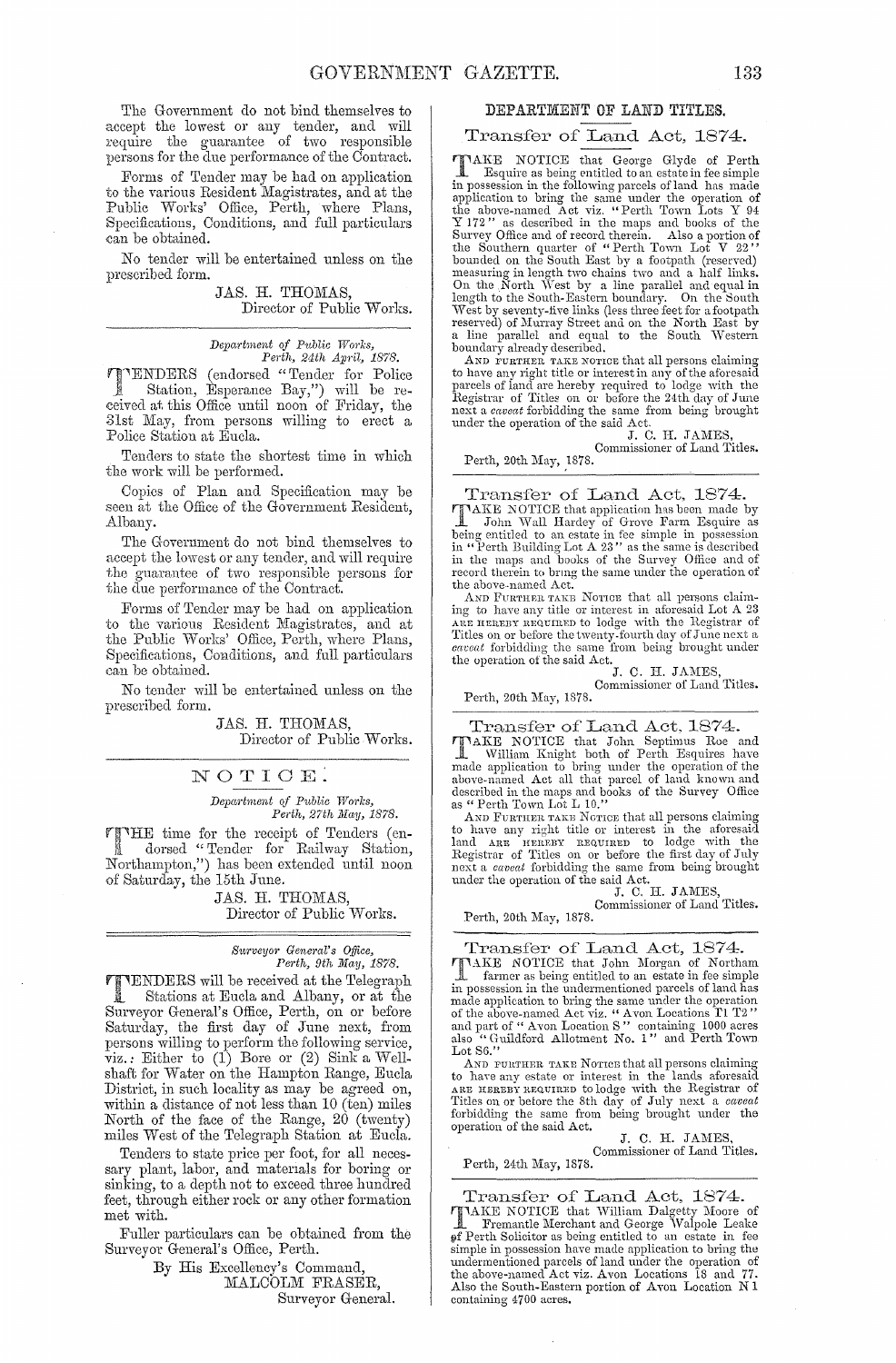The Government do not bind themselves to accept the lowest or any tender, and will require the guarantee of two responsible persons for the due performance of the Contract.

Forms of Tender may be had on application to the various Resident Magistrates, and at the Public Works' Office, Perth, where Plans, Specifications, Conditions, and full particulars can be obtained.

No tender will be entertained unless on the prescribed form.

> JAS. H. THOMAS, Director of Public Works.

*Depal·tment of Pttblic Works,*  Pedh, 24th *April,* 1878.

**TTENDERS** (endorsed "Tender for Police<br>Station, Esperance Bay,") will be re-.. Station, Esperance Bay,") will be received at. this Office until noon of Friday, the 31st May, from persons willing to erect a Police Station at Eucla.

Tenders to state the shortest time in which the work will be performed.

Copies of Plan and Specification may be seen at the Office of the Government Resident, Albany.

The Government do not bind themselves to accept the lowest or any tender, and will require the guarantee of two responsible persons for the due performance of the Contract.

Forms of Tender may be had on application to the various Resident Magistrates, and at the Public Works' Office, Perth, where Plans, Specifications, Conditions, and full particulars can be obtained.

No tender will be entertained unless on the prescribed form.

> JAS. H. THOMAS, Director of Public Works.

#### NOTICE.

 $Department of Public Works,$ Perth, 27th May, 1878.

THE time for the receipt of Tenders (en-<br>dorsed "Tender for Railway Station, Northampton,") has been extended until noon of Saturday, the 15th June.

> JAS. H. THOMAS, Director of Public Works.

## *Surveyor General's Office,*<br>Perth, 9th May, 1878.

TENDERS will be received at the Telegraph Stations at Eucla and Albany, or at the Surveyor General's Office, Perth, on or before Saturday, the first day of June next, from persons willing to perform the following service,  $\tilde{v}$ iz.: Either to (1) Bore or (2) Sink a Wellshaft for Water on the Hampton Range, Eucla District, in such locality as may be agreed on, within a distance of not less than  $10$  (ten) miles North of the face of the Range, 20 (twenty) miles West of the Telegraph Station at Eucla.

Tenders to state price per foot, for all necessary plant, labor, and materials for boring or sinking, to a depth not to exceed three hundred feet, through either rock or any other formation met with.

Fuller particulars can be obtained from the Surveyor General's Office, Perth.

> By His Excellency's Command, MALCOLM FRASER, Surveyor General.

#### DEPARTMENT OF LAND TITLES.

#### Transfer of Land Act, **1874.**

**TAKE NOTICE** that George Glyde of Perth<br> **L** Esquire as being entitled to an estate in fee simple<br>
in possession in the following parcels of land has made<br>
application to bring the same under the operation of<br>
the above-n measuring in length two chains two and a half links.<br>On the North West by a line parallel and equal in<br>length to the South-Eastern boundary. On the South<br>West by seventy-five links (less three feet for a footpath<br>west by s

to have any right title or interest in any of the aforesaid<br>parcels of land are hereby required to lodge with the<br>Registrar of Titles on or before the 24th day of June<br>next a *caveat* forbidding the same from being brought

under the operation of the said Act.<br>
J. C. H. JAMES,<br>
Commissioner of Land Titles.

Perth, 20th May, 1878.

Transfer of Land Act, 1874. TAKE NOTICE that application has been made by<br>
I John Wall Hardey of Grove Farm Esquire as<br>
being entitled to an estate in fee simple in possession<br>
in "Perth Building Lot A 23" as the same is described<br>
in the maps and bo record therein to bring the same under the operation of

the above-named Act.<br>AND FURTHBR TAKE NOTIOB that all persons claim-<br>ing to have any title or interest in aforesaid Lot A 23<br>ARE HEREBY REQUIRED to lodge with the Registrar of Titles on or before the twenty-fourth day of June next a *caveat* forbidding the same from being brought under the operation of the said Act.

J. C. H. JAMES,

Perth, 20th May, 1878. Commissioner of Land Titles.

Transfer of Land Act, 1874. TAKE NOTICE that John Septimus Roe and William Knight both of Perth Esquires have made application to bring under the operation of the above-named Act all that parcel of land known and described in the maps and books of the Survey Office as " Perth Town Lot L 10."

AND FURTHER TAKE NOTICE that all persons claiming to have any right title or interest in the aforesaid land ARB ureREST REQUIRTY TO LODGE with the SR (First day of July next a *caveat* forbidding the same from being brought under the operation of the said Act. J. C. H. J AMES, Commissioner of Land Titles.

Perth, 20th May, 1878.

Transfer of Land Act, **1874.**  TAKE NOTICE that John Morgan of Northam<br>farmer as being entitled to an estate in fee simple in possession in the undermentioned parcels of land has<br>made application to bring the same under the operation<br>of the above-named Act viz. "Avon Locations I'1  $2'$ <br>and part of "Avon Location S" containing 1000 acres<br>also

AND FURTHER TAKE NOTICE that all persons claiming<br>to have any estate or interest in the lands aforesaid<br>ARE HEREBY REQUIRED to lodge with the Registrar of Titles on or before the 8th day of July next a *caveat* forbidding the same from being brought under the operation of the said Act.

J. C. H. JAMES Commissioner of Land Titles.

Perth, 24th May, 1878.

Transfer of Land Act, 1874. **TIMEE NOTICE that William Dalgetty Moore of** Tremantle Merchant and George Walpole Leake<br>of Perth Solicitor as being entitled to an estate in fee<br>simple in possession have made application to bring the<br>undermentioned parc the above-named Act viz. Avon Locations 1S and 77. Also the South-Eastern portion of Avon Location NI containing 4700 acres.